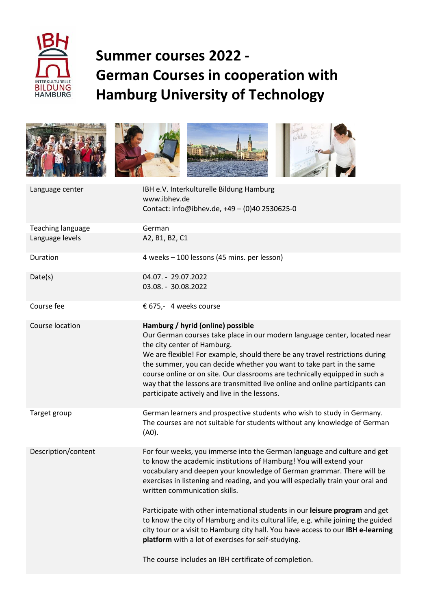

## **Summer courses 2022 - German Courses in cooperation with Hamburg University of Technology**









| Language center          | IBH e.V. Interkulturelle Bildung Hamburg<br>www.ibhev.de<br>Contact: info@ibhev.de, +49 - (0)40 2530625-0                                                                                                                                                                                                                                                                                                                                                                                                             |
|--------------------------|-----------------------------------------------------------------------------------------------------------------------------------------------------------------------------------------------------------------------------------------------------------------------------------------------------------------------------------------------------------------------------------------------------------------------------------------------------------------------------------------------------------------------|
| <b>Teaching language</b> | German                                                                                                                                                                                                                                                                                                                                                                                                                                                                                                                |
| Language levels          | A2, B1, B2, C1                                                                                                                                                                                                                                                                                                                                                                                                                                                                                                        |
| Duration                 | 4 weeks - 100 lessons (45 mins. per lesson)                                                                                                                                                                                                                                                                                                                                                                                                                                                                           |
| Date(s)                  | 04.07. - 29.07.2022<br>03.08. - 30.08.2022                                                                                                                                                                                                                                                                                                                                                                                                                                                                            |
| Course fee               | € 675,- 4 weeks course                                                                                                                                                                                                                                                                                                                                                                                                                                                                                                |
| Course location          | Hamburg / hyrid (online) possible<br>Our German courses take place in our modern language center, located near<br>the city center of Hamburg.<br>We are flexible! For example, should there be any travel restrictions during<br>the summer, you can decide whether you want to take part in the same<br>course online or on site. Our classrooms are technically equipped in such a<br>way that the lessons are transmitted live online and online participants can<br>participate actively and live in the lessons. |
| Target group             | German learners and prospective students who wish to study in Germany.<br>The courses are not suitable for students without any knowledge of German<br>(A0).                                                                                                                                                                                                                                                                                                                                                          |
| Description/content      | For four weeks, you immerse into the German language and culture and get<br>to know the academic institutions of Hamburg! You will extend your<br>vocabulary and deepen your knowledge of German grammar. There will be<br>exercises in listening and reading, and you will especially train your oral and<br>written communication skills.<br>Participate with other international students in our leisure program and get                                                                                           |
|                          | to know the city of Hamburg and its cultural life, e.g. while joining the guided<br>city tour or a visit to Hamburg city hall. You have access to our IBH e-learning<br>platform with a lot of exercises for self-studying.                                                                                                                                                                                                                                                                                           |
|                          | The course includes an IBH certificate of completion.                                                                                                                                                                                                                                                                                                                                                                                                                                                                 |